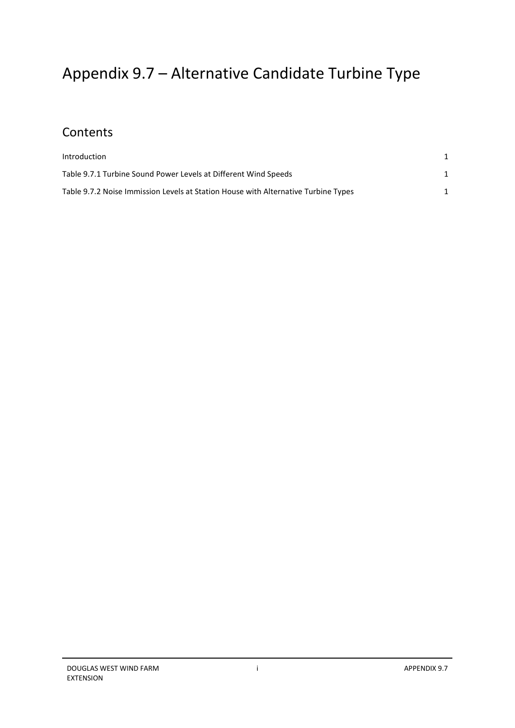## Appendix 9.7 – Alternative Candidate Turbine Type

## **Contents**

| Introduction                                                                       |  |
|------------------------------------------------------------------------------------|--|
| Table 9.7.1 Turbine Sound Power Levels at Different Wind Speeds                    |  |
| Table 9.7.2 Noise Immission Levels at Station House with Alternative Turbine Types |  |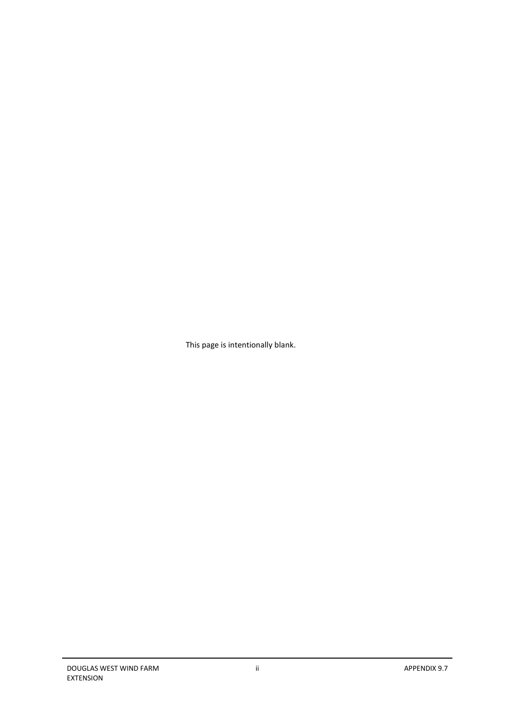This page is intentionally blank.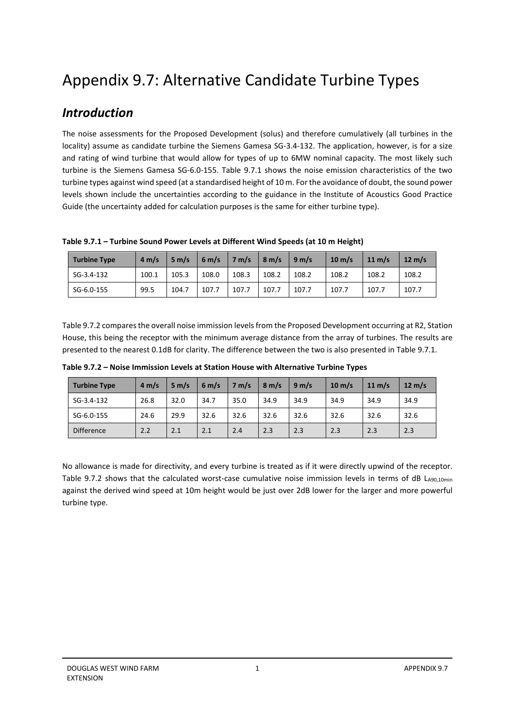## Appendix 9.7: Alternative Candidate Turbine Types

## <span id="page-2-0"></span>*Introduction*

The noise assessments for the Proposed Development (solus) and therefore cumulatively (all turbines in the locality) assume as candidate turbine the Siemens Gamesa SG-3.4-132. The application, however, is for a size and rating of wind turbine that would allow for types of up to 6MW nominal capacity. The most likely such turbine is the Siemens Gamesa SG-6.0-155. Table 9.7.1 shows the noise emission characteristics of the two turbine types against wind speed (at a standardised height of 10 m. For the avoidance of doubt, the sound power levels shown include the uncertainties according to the guidance in the Institute of Acoustics Good Practice Guide (the uncertainty added for calculation purposes is the same for either turbine type).

**Table 9.7.1 – Turbine Sound Power Levels at Different Wind Speeds (at 10 m Height)**

| <b>Turbine Type</b> | $4 \text{ m/s}$ | $5 \, \text{m/s}$ | $6 \, \text{m/s}$ | 7 <sub>m/s</sub> | 8 <sub>m/s</sub> | 9 <sub>m/s</sub> | $10 \text{ m/s}$ | $11 \text{ m/s}$ | $12 \text{ m/s}$ |
|---------------------|-----------------|-------------------|-------------------|------------------|------------------|------------------|------------------|------------------|------------------|
| SG-3.4-132          | 100.1           | 105.3             | 108.0             | 108.3            | 108.2            | 108.2            | 108.2            | 108.2            | 108.2            |
| $SG-6.0-155$        | 99.5            | 104.7             | 107.7             | 107.7            | 107.7            | 107.7            | 107.7            | 107.7            | 107.7            |

Table 9.7.2 compares the overall noise immission levels from the Proposed Development occurring at R2, Station House, this being the receptor with the minimum average distance from the array of turbines. The results are presented to the nearest 0.1dB for clarity. The difference between the two is also presented in Table 9.7.1.

**Table 9.7.2 – Noise Immission Levels at Station House with Alternative Turbine Types**

| <b>Turbine Type</b> | $4 \text{ m/s}$ | $5 \, \text{m/s}$ | 6 <sub>m/s</sub> | 7 <sub>m/s</sub> | 8 <sub>m/s</sub> | 9 <sub>m/s</sub> | $10 \text{ m/s}$ | $11 \text{ m/s}$ | $12 \text{ m/s}$ |
|---------------------|-----------------|-------------------|------------------|------------------|------------------|------------------|------------------|------------------|------------------|
| SG-3.4-132          | 26.8            | 32.0              | 34.7             | 35.0             | 34.9             | 34.9             | 34.9             | 34.9             | 34.9             |
| $SG-6.0-155$        | 24.6            | 29.9              | 32.6             | 32.6             | 32.6             | 32.6             | 32.6             | 32.6             | 32.6             |
| <b>Difference</b>   | 2.2             | 2.1               | 2.1              | 2.4              | 2.3              | 2.3              | 2.3              | 2.3              | 2.3              |

No allowance is made for directivity, and every turbine is treated as if it were directly upwind of the receptor. Table 9.7.2 shows that the calculated worst-case cumulative noise immission levels in terms of dB LA90.10min against the derived wind speed at 10m height would be just over 2dB lower for the larger and more powerful turbine type.